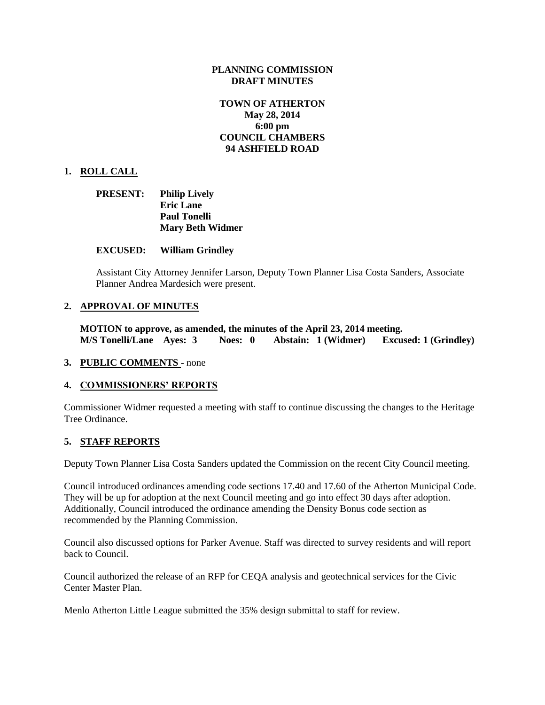# **PLANNING COMMISSION DRAFT MINUTES**

# **TOWN OF ATHERTON May 28, 2014 6:00 pm COUNCIL CHAMBERS 94 ASHFIELD ROAD**

## **1. ROLL CALL**

| <b>PRESENT:</b> | <b>Philip Lively</b>    |  |  |  |
|-----------------|-------------------------|--|--|--|
|                 | <b>Eric Lane</b>        |  |  |  |
|                 | <b>Paul Tonelli</b>     |  |  |  |
|                 | <b>Mary Beth Widmer</b> |  |  |  |

### **EXCUSED: William Grindley**

Assistant City Attorney Jennifer Larson, Deputy Town Planner Lisa Costa Sanders, Associate Planner Andrea Mardesich were present.

### **2. APPROVAL OF MINUTES**

**MOTION to approve, as amended, the minutes of the April 23, 2014 meeting. M/S Tonelli/Lane Ayes: 3 Noes: 0 Abstain: 1 (Widmer) Excused: 1 (Grindley)**

#### **3. PUBLIC COMMENTS** - none

#### **4. COMMISSIONERS' REPORTS**

Commissioner Widmer requested a meeting with staff to continue discussing the changes to the Heritage Tree Ordinance.

#### **5. STAFF REPORTS**

Deputy Town Planner Lisa Costa Sanders updated the Commission on the recent City Council meeting.

Council introduced ordinances amending code sections 17.40 and 17.60 of the Atherton Municipal Code. They will be up for adoption at the next Council meeting and go into effect 30 days after adoption. Additionally, Council introduced the ordinance amending the Density Bonus code section as recommended by the Planning Commission.

Council also discussed options for Parker Avenue. Staff was directed to survey residents and will report back to Council.

Council authorized the release of an RFP for CEQA analysis and geotechnical services for the Civic Center Master Plan.

Menlo Atherton Little League submitted the 35% design submittal to staff for review.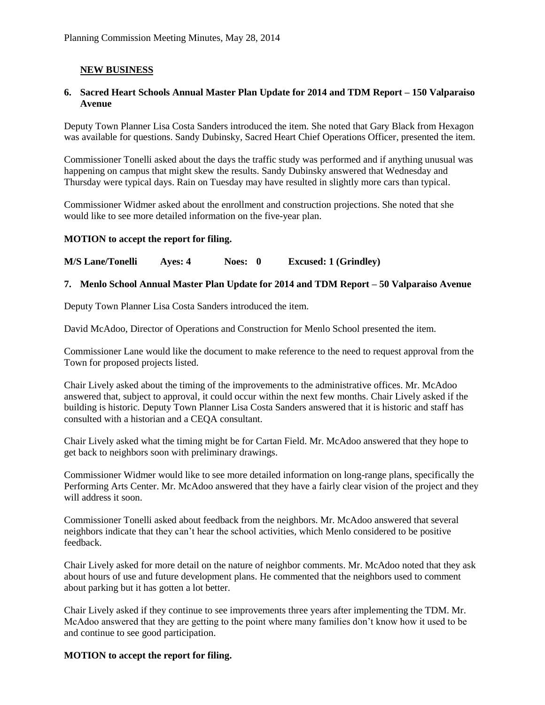# **NEW BUSINESS**

# **6. Sacred Heart Schools Annual Master Plan Update for 2014 and TDM Report – 150 Valparaiso Avenue**

Deputy Town Planner Lisa Costa Sanders introduced the item. She noted that Gary Black from Hexagon was available for questions. Sandy Dubinsky, Sacred Heart Chief Operations Officer, presented the item.

Commissioner Tonelli asked about the days the traffic study was performed and if anything unusual was happening on campus that might skew the results. Sandy Dubinsky answered that Wednesday and Thursday were typical days. Rain on Tuesday may have resulted in slightly more cars than typical.

Commissioner Widmer asked about the enrollment and construction projections. She noted that she would like to see more detailed information on the five-year plan.

## **MOTION to accept the report for filing.**

**M/S Lane/Tonelli Ayes: 4 Noes: 0 Excused: 1 (Grindley)**

# **7. Menlo School Annual Master Plan Update for 2014 and TDM Report – 50 Valparaiso Avenue**

Deputy Town Planner Lisa Costa Sanders introduced the item.

David McAdoo, Director of Operations and Construction for Menlo School presented the item.

Commissioner Lane would like the document to make reference to the need to request approval from the Town for proposed projects listed.

Chair Lively asked about the timing of the improvements to the administrative offices. Mr. McAdoo answered that, subject to approval, it could occur within the next few months. Chair Lively asked if the building is historic. Deputy Town Planner Lisa Costa Sanders answered that it is historic and staff has consulted with a historian and a CEQA consultant.

Chair Lively asked what the timing might be for Cartan Field. Mr. McAdoo answered that they hope to get back to neighbors soon with preliminary drawings.

Commissioner Widmer would like to see more detailed information on long-range plans, specifically the Performing Arts Center. Mr. McAdoo answered that they have a fairly clear vision of the project and they will address it soon.

Commissioner Tonelli asked about feedback from the neighbors. Mr. McAdoo answered that several neighbors indicate that they can't hear the school activities, which Menlo considered to be positive feedback.

Chair Lively asked for more detail on the nature of neighbor comments. Mr. McAdoo noted that they ask about hours of use and future development plans. He commented that the neighbors used to comment about parking but it has gotten a lot better.

Chair Lively asked if they continue to see improvements three years after implementing the TDM. Mr. McAdoo answered that they are getting to the point where many families don't know how it used to be and continue to see good participation.

# **MOTION to accept the report for filing.**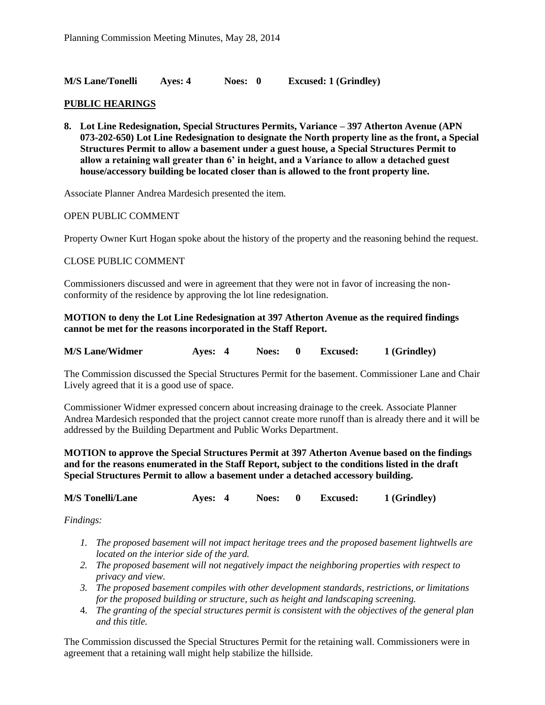**M/S Lane/Tonelli Ayes: 4 Noes: 0 Excused: 1 (Grindley)**

# **PUBLIC HEARINGS**

**8. Lot Line Redesignation, Special Structures Permits, Variance – 397 Atherton Avenue (APN 073-202-650) Lot Line Redesignation to designate the North property line as the front, a Special Structures Permit to allow a basement under a guest house, a Special Structures Permit to allow a retaining wall greater than 6' in height, and a Variance to allow a detached guest house/accessory building be located closer than is allowed to the front property line.**

Associate Planner Andrea Mardesich presented the item.

#### OPEN PUBLIC COMMENT

Property Owner Kurt Hogan spoke about the history of the property and the reasoning behind the request.

## CLOSE PUBLIC COMMENT

Commissioners discussed and were in agreement that they were not in favor of increasing the nonconformity of the residence by approving the lot line redesignation.

# **MOTION to deny the Lot Line Redesignation at 397 Atherton Avenue as the required findings cannot be met for the reasons incorporated in the Staff Report.**

| <b>M/S Lane/Widmer</b> | Aves: 4 | Noes: | <b>Excused:</b> | 1 (Grindley) |
|------------------------|---------|-------|-----------------|--------------|
|                        |         |       |                 |              |

The Commission discussed the Special Structures Permit for the basement. Commissioner Lane and Chair Lively agreed that it is a good use of space.

Commissioner Widmer expressed concern about increasing drainage to the creek. Associate Planner Andrea Mardesich responded that the project cannot create more runoff than is already there and it will be addressed by the Building Department and Public Works Department.

**MOTION to approve the Special Structures Permit at 397 Atherton Avenue based on the findings and for the reasons enumerated in the Staff Report, subject to the conditions listed in the draft Special Structures Permit to allow a basement under a detached accessory building.**

**M/S Tonelli/Lane Ayes: 4 Noes: 0 Excused: 1 (Grindley)**

*Findings:*

- *1. The proposed basement will not impact heritage trees and the proposed basement lightwells are located on the interior side of the yard.*
- *2. The proposed basement will not negatively impact the neighboring properties with respect to privacy and view.*
- *3. The proposed basement compiles with other development standards, restrictions, or limitations for the proposed building or structure, such as height and landscaping screening.*
- 4. *The granting of the special structures permit is consistent with the objectives of the general plan and this title.*

The Commission discussed the Special Structures Permit for the retaining wall. Commissioners were in agreement that a retaining wall might help stabilize the hillside.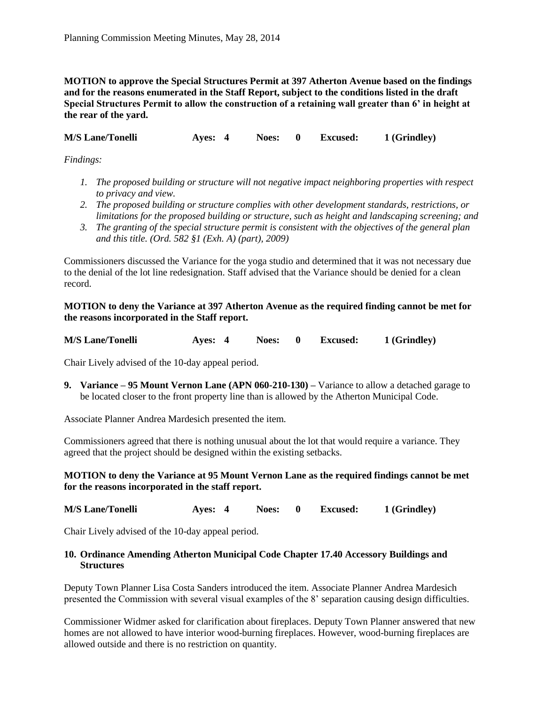**MOTION to approve the Special Structures Permit at 397 Atherton Avenue based on the findings and for the reasons enumerated in the Staff Report, subject to the conditions listed in the draft Special Structures Permit to allow the construction of a retaining wall greater than 6' in height at the rear of the yard.**

**M/S Lane/Tonelli Ayes: 4 Noes: 0 Excused: 1 (Grindley)**

*Findings:*

- *1. The proposed building or structure will not negative impact neighboring properties with respect to privacy and view.*
- *2. The proposed building or structure complies with other development standards, restrictions, or limitations for the proposed building or structure, such as height and landscaping screening; and*
- *3. The granting of the special structure permit is consistent with the objectives of the general plan and this title. (Ord. 582 §1 (Exh. A) (part), 2009)*

Commissioners discussed the Variance for the yoga studio and determined that it was not necessary due to the denial of the lot line redesignation. Staff advised that the Variance should be denied for a clean record.

**MOTION to deny the Variance at 397 Atherton Avenue as the required finding cannot be met for the reasons incorporated in the Staff report.**

**M/S Lane/Tonelli Ayes: 4 Noes: 0 Excused: 1 (Grindley)**

Chair Lively advised of the 10-day appeal period.

**9. Variance – 95 Mount Vernon Lane (APN 060-210-130) –** Variance to allow a detached garage to be located closer to the front property line than is allowed by the Atherton Municipal Code.

Associate Planner Andrea Mardesich presented the item.

Commissioners agreed that there is nothing unusual about the lot that would require a variance. They agreed that the project should be designed within the existing setbacks.

# **MOTION to deny the Variance at 95 Mount Vernon Lane as the required findings cannot be met for the reasons incorporated in the staff report.**

**M/S Lane/Tonelli Ayes: 4 Noes: 0 Excused: 1 (Grindley)**

Chair Lively advised of the 10-day appeal period.

## **10. Ordinance Amending Atherton Municipal Code Chapter 17.40 Accessory Buildings and Structures**

Deputy Town Planner Lisa Costa Sanders introduced the item. Associate Planner Andrea Mardesich presented the Commission with several visual examples of the 8' separation causing design difficulties.

Commissioner Widmer asked for clarification about fireplaces. Deputy Town Planner answered that new homes are not allowed to have interior wood-burning fireplaces. However, wood-burning fireplaces are allowed outside and there is no restriction on quantity.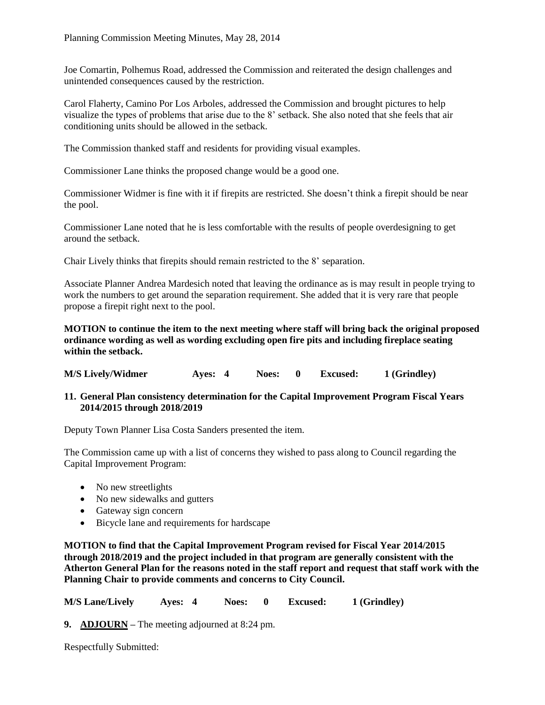Joe Comartin, Polhemus Road, addressed the Commission and reiterated the design challenges and unintended consequences caused by the restriction.

Carol Flaherty, Camino Por Los Arboles, addressed the Commission and brought pictures to help visualize the types of problems that arise due to the 8' setback. She also noted that she feels that air conditioning units should be allowed in the setback.

The Commission thanked staff and residents for providing visual examples.

Commissioner Lane thinks the proposed change would be a good one.

Commissioner Widmer is fine with it if firepits are restricted. She doesn't think a firepit should be near the pool.

Commissioner Lane noted that he is less comfortable with the results of people overdesigning to get around the setback.

Chair Lively thinks that firepits should remain restricted to the 8' separation.

Associate Planner Andrea Mardesich noted that leaving the ordinance as is may result in people trying to work the numbers to get around the separation requirement. She added that it is very rare that people propose a firepit right next to the pool.

**MOTION to continue the item to the next meeting where staff will bring back the original proposed ordinance wording as well as wording excluding open fire pits and including fireplace seating within the setback.**

**M/S Lively/Widmer Ayes: 4 Noes: 0 Excused: 1 (Grindley)**

**11. General Plan consistency determination for the Capital Improvement Program Fiscal Years 2014/2015 through 2018/2019**

Deputy Town Planner Lisa Costa Sanders presented the item.

The Commission came up with a list of concerns they wished to pass along to Council regarding the Capital Improvement Program:

- No new streetlights
- No new sidewalks and gutters
- Gateway sign concern
- Bicycle lane and requirements for hardscape

**MOTION to find that the Capital Improvement Program revised for Fiscal Year 2014/2015 through 2018/2019 and the project included in that program are generally consistent with the Atherton General Plan for the reasons noted in the staff report and request that staff work with the Planning Chair to provide comments and concerns to City Council.**

**M/S Lane/Lively Ayes: 4 Noes: 0 Excused: 1 (Grindley)**

**9. ADJOURN –** The meeting adjourned at 8:24 pm.

Respectfully Submitted: